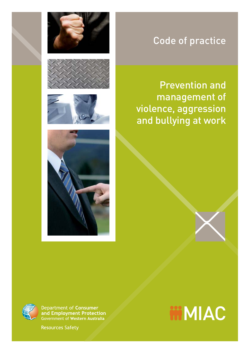## Code of practice

## Prevention and management of violence, aggression and bullying at work



Department of Consumer and Employment Protection Government of Western Australia

**Resources Safety** 

# **MMIAC**



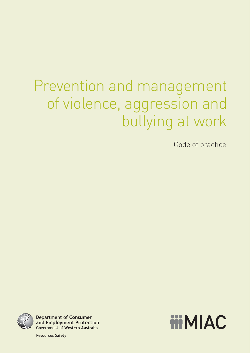# Prevention and management of violence, aggression and bullying at work

Code of practice



**Department of Consumer** and Employment Protection **Government of Western Australia** 

**MMIAC** 

**Resources Safety**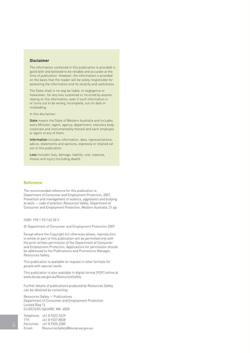#### **Disclaimer**

The information contained in this publication is provided in good faith and believed to be reliable and accurate at the time of publication. However, the information is provided on the basis that the reader will be solely responsible for assessing the information and its veracity and usefulness.

The State shall in no way be liable, in negligence or howsoever, for any loss sustained or incurred by anyone relying on the information, even if such information is or turns out to be wrong, incomplete, out-of-date or misleading.

In this disclaimer:

State means the State of Western Australia and includes every Minister, agent, agency, department, statutory body corporate and instrumentality thereof and each employee or agent of any of them.

Information includes information, data, representations, advice, statements and opinions, expressly or implied set out in this publication.

Loss includes loss, damage, liability, cost, expense, illness and injury (including death).

#### **Reference**

The recommended reference for this publication is: Department of Consumer and Employment Protection, 2007, Prevention and management of violence, aggression and bullying at work — code of practice: Resources Safety, Department of Consumer and Employment Protection, Western Australia, 31 pp.

ISBN 978 1 921163 20 3

© Department of Consumer and Employment Protection 2007

Except where the Copyright Act otherwise allows, reproduction in whole or part of this publication will be permitted only with the prior written permission of the Department of Consumer and Employment Protection. Applications for permission should be addressed to the Publications and Promotions Manager, Resources Safety.

This publication is available on request in other formats for people with special needs.

This publication is also available in digital format (PDF) online at www.docep.wa.gov.au/ResourcesSafety

Further details of publications produced by Resources Safety can be obtained by contacting:

Resources Safety — Publications Department of Consumer and Employment Protection Locked Bag 14 CLOISTERS SQUARE WA 6850

Telephone: +61 8 9222 3229 TTY: +61 8 9327 8838 Facsimile: +61 8 9325 2280 Email: ResourcesSafety@docep.wa.gov.au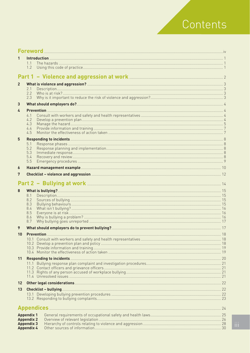# Contents

| 1               |                                        |               |  |
|-----------------|----------------------------------------|---------------|--|
|                 | 1.1                                    |               |  |
|                 | 1.2                                    |               |  |
|                 |                                        |               |  |
|                 |                                        |               |  |
| $\overline{2}$  |                                        |               |  |
|                 | 2.1<br>2.2                             |               |  |
|                 | 2.3                                    |               |  |
| 3               |                                        |               |  |
| 4               |                                        |               |  |
|                 | 4.1                                    |               |  |
|                 | 4.2                                    |               |  |
|                 | 4.3                                    |               |  |
|                 | 4.4<br>4.5                             |               |  |
|                 |                                        |               |  |
| 5               |                                        |               |  |
|                 | 5.1<br>5.2                             |               |  |
|                 | 5.3                                    |               |  |
|                 | 5.4                                    |               |  |
|                 | 5.5                                    |               |  |
| 6               |                                        |               |  |
| 7               |                                        |               |  |
|                 |                                        |               |  |
|                 |                                        |               |  |
| 8               |                                        |               |  |
|                 | 8.1<br>8.2                             |               |  |
|                 | 8.3                                    |               |  |
|                 | 8.4                                    |               |  |
|                 | 8.5<br>8.6                             |               |  |
|                 | 8.7                                    |               |  |
| 9               |                                        |               |  |
|                 |                                        |               |  |
| 10 <sub>1</sub> |                                        |               |  |
|                 |                                        |               |  |
|                 |                                        |               |  |
|                 |                                        |               |  |
| 11              |                                        |               |  |
|                 |                                        |               |  |
|                 |                                        |               |  |
|                 |                                        |               |  |
| 12 <sup>2</sup> |                                        |               |  |
| 13              |                                        |               |  |
|                 |                                        |               |  |
|                 |                                        |               |  |
|                 |                                        |               |  |
|                 |                                        | Appendices 24 |  |
|                 | <b>Appendix 1</b>                      |               |  |
|                 | <b>Appendix 2</b>                      |               |  |
|                 | <b>Appendix 3</b><br><b>Appendix 4</b> |               |  |
|                 |                                        |               |  |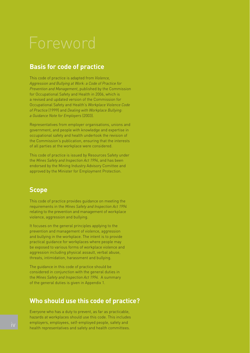# Foreword

### **Basis for code of practice**

This code of practice is adapted from *Violence, Aggression and Bullying at Work: a Code of Practice for Prevention and Management*, published by the Commission for Occupational Safety and Health in 2006, which is a revised and updated version of the Commission for Occupational Safety and Health's *Workplace Violence Code of Practice* (1999) and *Dealing with Workplace Bullying: a Guidance Note for Employers* (2003).

Representatives from employer organisations, unions and government, and people with knowledge and expertise in occupational safety and health undertook the revision of the Commission's publication, ensuring that the interests of all parties at the workplace were considered.

This code of practice is issued by Resources Safety under the *Mines Safety and Inspection Act 1994*, and has been endorsed by the Mining Industry Advisory Comittee and approved by the Minister for Employment Protection.

#### **Scope**

This code of practice provides guidance on meeting the requirements in the *Mines Safety and Inspection Act 1994* relating to the prevention and management of workplace violence, aggression and bullying.

It focuses on the general principles applying to the prevention and management of violence, aggression and bullying in the workplace. The intent is to provide practical guidance for workplaces where people may be exposed to various forms of workplace violence and aggression including physical assault, verbal abuse, threats, intimidation, harassment and bullying.

The guidance in this code of practice should be considered in conjunction with the general duties in the *Mines Safety and Inspection Act 1994.* A summary of the general duties is given in Appendix 1.

### **Who should use this code of practice?**

Everyone who has a duty to prevent, as far as practicable, hazards at workplaces should use this code. This includes employers, employees, self-employed people, safety and health representatives and safety and health committees.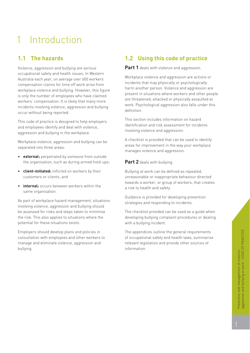## 1 Introduction

### **1.1 The hazards**

Violence, aggression and bullying are serious occupational safety and health issues. In Western Australia each year, on average over 600 workers' compensation claims for time off work arise from workplace violence and bullying. However, this figure is only the number of employees who have claimed workers' compensation. It is likely that many more incidents involving violence, aggression and bullying occur without being reported.

This code of practice is designed to help employers and employees identify and deal with violence, aggression and bullying in the workplace.

Workplace violence, aggression and bullying can be separated into three areas:

- **external:** perpetrated by someone from outside the organisation, such as during armed hold-ups;
- **client-initiated:** inflicted on workers by their customers or clients; and
- **internal:** occurs between workers within the same organisation.

As part of workplace hazard management, situations involving violence, aggression and bullying should be assessed for risks and steps taken to minimise the risk. This also applies to situations where the potential for these situations exists.

Employers should develop plans and policies in consultation with employees and other workers to manage and eliminate violence, aggression and bullying.

### **1.2 Using this code of practice**

**Part 1** deals with violence and aggression.

Workplace violence and aggression are actions or incidents that may physically or psychologically harm another person. Violence and aggression are present in situations where workers and other people are threatened, attacked or physically assaulted at work. Psychological aggression also falls under this definition.

This section includes information on hazard identification and risk assessment for incidents involving violence and aggression.

A checklist is provided that can be used to identify areas for improvement in the way your workplace manages violence and aggression.

#### **Part 2** deals with bullying.

Bullying at work can be defined as repeated, unreasonable or inappropriate behaviour directed towards a worker, or group of workers, that creates a risk to health and safety.

Guidance is provided for developing prevention strategies and responding to incidents.

The checklist provided can be used as a guide when developing bullying complaint procedures or dealing with a bullying incident.

The appendices outline the general requirements of occupational safety and health laws, summarise relevant legislation and provide other sources of information.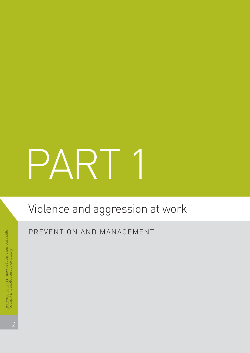# PART 1

# Violence and aggression at work

PREVENTION AND MANAGEMENT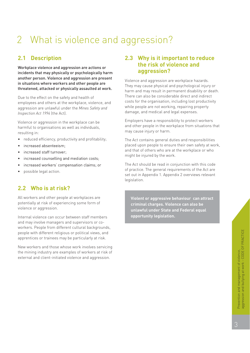## 2 What is violence and aggression?

### **2.1 Description**

Workplace violence and aggression are actions or incidents that may physically or psychologically harm another person. Violence and aggression are present in situations where workers and other people are threatened, attacked or physically assaulted at work.

Due to the effect on the safety and health of employees and others at the workplace, violence, and aggression are unlawful under the *Mines Safety and Inspection Act 1994* (the Act).

Violence or aggression in the workplace can be harmful to organisations as well as individuals, resulting in:

- reduced efficiency, productivity and profitability;
- increased absenteeism;
- increased staff turnover;
- $\bullet$  increased counselling and mediation costs;
- increased workers' compensation claims; or
- possible legal action.

### **2.2 Who is at risk?**

All workers and other people at workplaces are potentially at risk of experiencing some form of violence or aggression.

Internal violence can occur between staff members and may involve managers and supervisors or coworkers. People from different cultural backgrounds, people with different religious or political views, and apprentices or trainees may be particularly at risk.

New workers and those whose work involves servicing the mining industry are examples of workers at risk of external and client-initiated violence and aggression.

#### **2.3 Why is it important to reduce the risk of violence and aggression?**

Violence and aggression are workplace hazards. They may cause physical and psychological injury or harm and may result in permanent disability or death. There can also be considerable direct and indirect costs for the organisation, including lost productivity while people are not working, repairing property damage, and medical and legal expenses.

Employers have a responsibility to protect workers and other people in the workplace from situations that may cause injury or harm.

The Act contains general duties and responsibilities placed upon people to ensure their own safety at work, and that of others who are at the workplace or who might be injured by the work.

The Act should be read in conjunction with this code of practice. The general requirements of the Act are set out in Appendix 1. Appendix 2 overviews relevant legislation.

**Violent or aggressive behaviour can attract criminal charges. Violence can also be unlawful under State and Federal equal opportunity legislation.**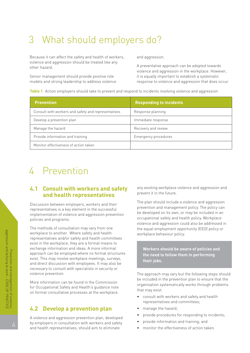## 3 What should employers do?

Because it can affect the safety and health of workers, and aggression. violence and aggression should be treated like any <br>
A preventative approach can be adopted towards<br>
other hazard.

Senior management should provide positive role in the sequally important to establish a systematic

violence and aggression in the workplace. However, models and strong leadership to address violence response to violence and aggression that does occur.

**Table 1** Action employers should take to prevent and respond to incidents involving violence and aggression

| <b>Prevention</b>                                   | <b>Responding to incidents</b> |
|-----------------------------------------------------|--------------------------------|
| Consult with workers and safety and representatives | Response planning              |
| Develop a prevention plan                           | Immediate response             |
| Manage the hazard                                   | Recovery and review            |
| Provide information and training                    | Emergency procedures           |
| Monitor effectiveness of action taken               |                                |

## 4 Prevention

#### **4.1 Consult with workers and safety and health representatives**

Discussion between employers, workers and their representatives is a key element in the successful implementation of violence and aggression prevention policies and programs.

The methods of consultation may vary from one workplace to another. Where safety and health representatives and/or safety and health committees exist in the workplace, they are a formal means to exchange information and ideas. A more informal approach can be employed where no formal structures exist. This may involve workplace meetings, surveys, and direct discussion with employees. It may also be necessary to consult with specialists in security or violence prevention.

More information can be found in the Commission for Occupational Safety and Health's guidance note on formal consultative processes at the workplace.

#### **4.2 Develop a prevention plan**

A violence and aggression prevention plan, developed by employers in consultation with workers and safety and health representatives, should aim to eliminate

any existing workplace violence and aggression and prevent it in the future.

The plan should include a violence and aggression prevention and management policy. The policy can be developed on its own, or may be included in an occupational safety and health policy. Workplace violence and aggression could also be addressed in the equal employment opportunity (EEO) policy or workplace behaviour policy.

**Workers should be aware of policies and the need to follow them in performing their jobs.**

The approach may vary but the following steps should be included in the prevention plan to ensure that the organisation systematically works through problems that may exist:

- consult with workers and safety and health representatives and committees;
- manage the hazard;
- provide procedures for responding to incidents;
- provide information and training; and
- monitor the effectiveness of action taken.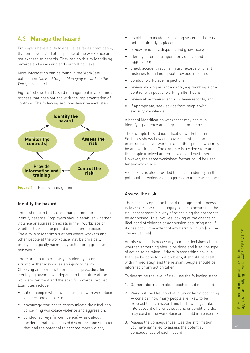## **4.3 Manage the hazard**

Employers have a duty to ensure, as far as practicable, that employees and other people at the workplace are not exposed to hazards. They can do this by identifying hazards and assessing and controlling risks.

More information can be found in the WorkSafe publication *The First Step — Managing Hazards in the Workplace* (2006)*.*

Figure 1 shows that hazard management is a continual process that does not end with the implementation of controls. The following sections describe each step.



**Figure 1** Hazard management

#### **Identify the hazard**

The first step in the hazard management process is to identify hazards. Employers should establish whether violence or aggression exists in their workplace or whether there is the potential for them to occur. The aim is to identify situations where workers and other people at the workplace may be physically or psychologically harmed by violent or aggressive behaviour.

There are a number of ways to identify potential situations that may cause an injury or harm. Choosing an appropriate process or procedure for identifying hazards will depend on the nature of the work environment and the specific hazards involved. Examples include:

- talk to people who have experience with workplace violence and aggression;
- encourage workers to communicate their feelings concerning workplace violence and aggression;
- conduct surveys (in confidence) ask about incidents that have caused discomfort and situations that had the potential to become more violent;
- establish an incident reporting system if there is not one already in place;
- review incidents, disputes and grievances;
- identify potential triggers for violence and aggression;
- check accident reports, injury records or client histories to find out about previous incidents;
- conduct workplace inspections;
- review working arrangements, e.g. working alone, contact with public, working after hours;
- review absenteeism and sick leave records; and
- if appropriate, seek advice from people with security knowledge.

A hazard identification worksheet may assist in identifying violence and aggression problems.

The example hazard identification worksheet in Section 6 shows how one hazard identification exercise can cover workers and other people who may be at a workplace. The example is a video store and the people involved are employees and customers. However, the same worksheet format could be used for any workplace.

A checklist is also provided to assist in identifying the potential for violence and aggression in the workplace.

#### **Assess the risk**

The second step in the hazard management process is to assess the risks of injury or harm occurring. The risk assessment is a way of prioritising the hazards to be addressed. This involves looking at the chance or likelihood of violence or aggression occurring and, if it does occur, the extent of any harm or injury (i.e. the consequences).

At this stage, it is necessary to make decisions about whether something should be done and if so, the type of action to be taken. If there is something obvious that can be done to fix a problem, it should be dealt with immediately, and the relevant people should be informed of any action taken.

To determine the level of risk, use the following steps:

- 1. Gather information about each identified hazard.
- 2. Work out the likelihood of injury or harm occurring — consider how many people are likely to be exposed to each hazard and for how long. Take into account different situations or conditions that may exist in the workplace and could increase risk.
- 3. Assess the consequences. Use the information you have gathered to assess the potential consequences of each hazard.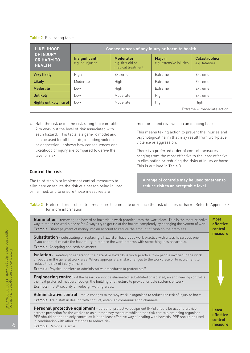#### **Table 2** Risk rating table

| <b>LIKELIHOOD</b>                                      |                                    |                                                            | Consequences of any injury or harm to health |                                         |
|--------------------------------------------------------|------------------------------------|------------------------------------------------------------|----------------------------------------------|-----------------------------------------|
| <b>OF INJURY</b><br><b>OR HARM TO</b><br><b>HEALTH</b> | Insignificant:<br>e.g. no injuries | <b>Moderate:</b><br>e.g. first aid or<br>medical treatment | Major:<br>e.g. extensive injuries            | <b>Catastrophic:</b><br>e.g. fatalities |
| <b>Very likely</b>                                     | High                               | Extreme                                                    | Extreme                                      | Extreme                                 |
| <b>Likely</b>                                          | Moderate                           | High                                                       | Extreme                                      | Extreme                                 |
| <b>Moderate</b>                                        | $-0W$                              | High                                                       | Extreme                                      | Extreme                                 |
| <b>Unlikely</b>                                        | $-0W$                              | Moderate                                                   | High                                         | Extreme                                 |
| <b>Highly unlikely (rare)</b>                          | LOW                                | Moderate                                                   | High                                         | High                                    |
|                                                        |                                    |                                                            |                                              | Extreme = immediate action              |

4. Rate the risk using the risk rating table in Table 2 to work out the level of risk associated with each hazard. This table is a generic model and can be used for all hazards, including violence or aggression. It shows how consequences and likelihood of injury are compared to derive the level of risk.

#### **Control the risk**

The third step is to implement control measures to eliminate or reduce the risk of a person being injured or harmed, and to ensure those measures are

monitored and reviewed on an ongoing basis.

This means taking action to prevent the injuries and psychological harm that may result from workplace violence or aggression.

There is a preferred order of control measures ranging from the most effective to the least effective in eliminating or reducing the risks of injury or harm. This is outlined in Table 3.

**A range of controls may be used together to reduce risk to an acceptable level.**

**Table 3** Preferred order of control measures to eliminate or reduce the risk of injury or harm. Refer to Appendix 3 for more information

| <b>Elimination</b> - removing the hazard or hazardous work practice from the workplace. This is the most effective<br>way to make the workplace safer. Always try to get rid of the hazard completely by changing the system of work.<br><b>Example:</b> Direct payment of money into an account to reduce the amount of cash on the premises.                                                                           | <b>Most</b><br>effective<br>control<br>measure |
|--------------------------------------------------------------------------------------------------------------------------------------------------------------------------------------------------------------------------------------------------------------------------------------------------------------------------------------------------------------------------------------------------------------------------|------------------------------------------------|
| <b>Substitution</b> - substituting or replacing a hazard or hazardous work practice with a less hazardous one.<br>If you cannot eliminate the hazard, try to replace the work process with something less hazardous.<br><b>Example:</b> Accepting non cash payments.                                                                                                                                                     |                                                |
| <b>Isolation</b> - isolating or separating the hazard or hazardous work practice from people involved in the work<br>or people in the general work area. Where appropriate, make changes to the workplace or to equipment to<br>reduce the risk of injury or harm.<br><b>Example:</b> Physical barriers or administrative procedures to protect staff.                                                                   |                                                |
| <b>Engineering control</b> - if the hazard cannot be eliminated, substituted or isolated, an engineering control is<br>the next preferred measure. Design the building or structure to provide for safe systems of work.<br><b>Example:</b> Install security or redesign waiting areas.                                                                                                                                  |                                                |
| Administrative control - make changes to the way work is organised to reduce the risk of injury or harm.<br>Example: Train staff in dealing with conflict, establish communication channels.                                                                                                                                                                                                                             |                                                |
| Personal protective equipment - personal protective equipment (PPE) should be used to provide<br>greater protection for the worker or as a temporary measure whilst other risk controls are being organised.<br>PPE should not be the only control as it is the least effective way of dealing with hazards. PPE should be used<br>in combination with other methods to reduce risk.<br><b>Example:</b> Personal alarms. | Least<br>effective<br>control<br>measure       |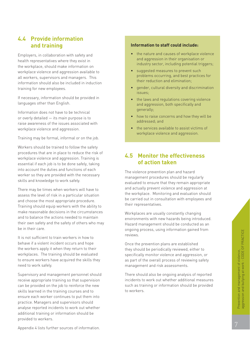#### **4.4 Provide information and training**

Employers, in collaboration with safety and health representatives where they exist in the workplace, should make information on workplace violence and aggression available to all workers, supervisors and managers. This information should also be included in induction training for new employees.

If necessary, information should be provided in languages other than English.

Information does not have to be technical or overly detailed — its main purpose is to raise awareness of the issues associated with workplace violence and aggression.

Training may be formal, informal or on the job.

Workers should be trained to follow the safety procedures that are in place to reduce the risk of workplace violence and aggression. Training is essential if each job is to be done safely, taking into account the duties and functions of each worker so they are provided with the necessary skills and knowledge to work safely.

There may be times when workers will have to assess the level of risk in a particular situation and choose the most appropriate procedure. Training should equip workers with the ability to make reasonable decisions in the circumstances and to balance the actions needed to maintain their own safety and the safety of others who may be in their care.

It is not sufficient to train workers in how to behave if a violent incident occurs and hope the workers apply it when they return to their workplaces. The training should be evaluated to ensure workers have acquired the skills they need to work safely.

Supervisory and management personnel should receive appropriate training so that supervision can be provided on the job to reinforce the new skills learned in the training courses and to ensure each worker continues to put them into practice. Managers and supervisors should analyse reported incidents to work out whether additional training or information should be provided to workers.

#### **Information to staff could include:**

- the nature and causes of workplace violence and aggression in their organisation or industry sector, including potential triggers;
- suggested measures to prevent such problems occurring, and best practices for their reduction and elimination;
- gender, cultural diversity and discrimination issues;
- the laws and regulations covering violence and aggression, both specifically and generally;
- how to raise concerns and how they will be addressed; and
- the services available to assist victims of workplace violence and aggression.

#### **4.5 Monitor the effectiveness of action taken**

The violence prevention plan and hazard management procedures should be regularly evaluated to ensure that they remain appropriate and actually prevent violence and aggression at the workplace. Monitoring and evaluation should be carried out in consultation with employees and their representatives.

Workplaces are usually constantly changing environments with new hazards being introduced. Hazard management should be conducted as an ongoing process, using information gained from reviews.

Once the prevention plans are established they should be periodically reviewed, either to specifically monitor violence and aggression, or as part of the overall process of reviewing safety management and risk assessments.

There should also be ongoing analysis of reported incidents to work out whether additional measures such as training or information should be provided to workers.

Appendix 4 lists further sources of information.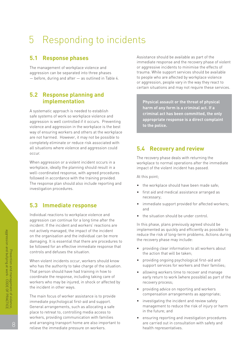## 5 Responding to incidents

#### **5.1 Response phases**

The management of workplace violence and aggression can be separated into three phases — before, during and after — as outlined in Table 4.

#### **5.2 Response planning and implementation**

A systematic approach is needed to establish safe systems of work so workplace violence and aggression is well controlled if it occurs. Preventing violence and aggression in the workplace is the best way of ensuring workers and others at the workplace are not harmed. However, it may not be possible to completely eliminate or reduce risk associated with all situations where violence and aggression could occur.

When aggression or a violent incident occurs in a workplace, ideally the planning should result in a well-coordinated response, with agreed procedures followed in accordance with the training provided. The response plan should also include reporting and investigation procedures.

#### **5.3 Immediate response**

Individual reactions to workplace violence and aggression can continue for a long time after the incident. If the incident and workers' reactions are not actively managed, the impact of the incident on the organisation and the individual can be more damaging. It is essential that there are procedures to be followed for an effective immediate response that controls and defuses the situation.

When violent incidents occur, workers should know who has the authority to take charge of the situation. That person should have had training in how to coordinate the response, including taking care of workers who may be injured, in shock or affected by the incident in other ways.

The main focus of worker assistance is to provide immediate psychological first-aid and support. General arrangements, such as allocating a safe place to retreat to, controlling media access to workers, providing communication with families and arranging transport home are also important to relieve the immediate pressure on workers.

Assistance should be available as part of the immediate response and the recovery phase of violent or aggressive incidents to minimise the effects of trauma. While support services should be available to people who are affected by workplace violence or aggression, people vary in the way they react to certain situations and may not require these services.

**Physical assault or the threat of physical harm of any form is a criminal act. If a criminal act has been committed, the only appropriate response is a direct complaint to the police.**

#### **5.4 Recovery and review**

The recovery phase deals with returning the workplace to normal operations after the immediate impact of the violent incident has passed.

At this point;

- the workplace should have been made safe;
- first aid and medical assistance arranged as necessary;
- immediate support provided for affected workers; and
- the situation should be under control.

In this phase, plans previously agreed should be implemented as quickly and efficiently as possible to reduce the risk of long-term problems. Actions during the recovery phase may include:

- providing clear information to all workers about the action that will be taken;
- providing ongoing psychological first-aid and support services for workers and their families;
- allowing workers time to recover and manage early return to work (where possible) as part of the recovery process;
- providing advice on reporting and workers compensation arrangements as appropriate;
- investigating the incident and review safety management to reduce the risk of injury or harm in the future; and
- ensuring reporting and investigation procedures are carried out in consultation with safety and health representatives.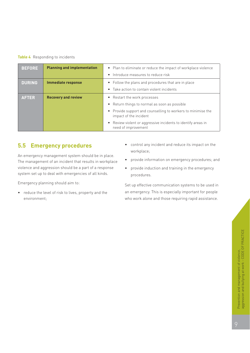#### **Table 4** Responding to incidents

| <b>BEFORE</b> | <b>Planning and implementation</b> | • Plan to eliminate or reduce the impact of workplace violence<br>• Introduce measures to reduce risk |
|---------------|------------------------------------|-------------------------------------------------------------------------------------------------------|
|               |                                    |                                                                                                       |
| <b>DURING</b> | <b>Immediate response</b>          | • Follow the plans and procedures that are in place                                                   |
|               |                                    | • Take action to contain violent incidents                                                            |
| <b>AFTER</b>  | <b>Recovery and review</b>         | • Restart the work processes                                                                          |
|               |                                    | • Return things to normal as soon as possible                                                         |
|               |                                    | • Provide support and counselling to workers to minimise the<br>impact of the incident                |
|               |                                    | • Review violent or aggressive incidents to identify areas in<br>need of improvement                  |

#### **5.5 Emergency procedures**

An emergency management system should be in place. The management of an incident that results in workplace violence and aggression should be a part of a response system set up to deal with emergencies of all kinds.

Emergency planning should aim to:

• reduce the level of risk to lives, property and the environment;

- control any incident and reduce its impact on the workplace;
- provide information on emergency procedures; and
- provide induction and training in the emergency procedures.

Set up effective communication systems to be used in an emergency. This is especially important for people who work alone and those requiring rapid assistance.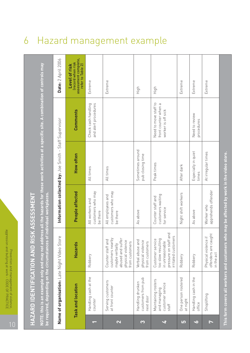10

|   | ì                     |
|---|-----------------------|
|   |                       |
|   |                       |
|   | ı<br>I<br>Þ           |
|   | ŧ<br>I<br>I<br>h<br>١ |
|   | ı.                    |
|   | R<br>I<br>Þ<br>ĥ<br>h |
|   | I<br>Þ<br>h           |
|   | I<br>í                |
|   | h<br>d                |
|   | ļ.<br>۰<br>I<br>j     |
|   | н<br>١<br>۰           |
|   | I                     |
|   | Í                     |
| I | ×                     |
|   | I                     |
|   |                       |
|   |                       |
|   | 1<br>⋍                |
|   | ŀ                     |
|   | I                     |
|   |                       |
|   | $\sim$                |
|   |                       |
|   |                       |
|   |                       |
|   |                       |
|   | I<br>ı                |
|   | ì                     |
|   | l                     |
|   | I                     |
|   |                       |
|   | Ì                     |
|   | í<br>I                |

|           | HAZARD IDENTIFICATION AND RISK ASSESSMENT                            |                                                                                                                                       |                                                       |                                      |                                                                                                                                               |                                                                                 |
|-----------|----------------------------------------------------------------------|---------------------------------------------------------------------------------------------------------------------------------------|-------------------------------------------------------|--------------------------------------|-----------------------------------------------------------------------------------------------------------------------------------------------|---------------------------------------------------------------------------------|
|           | be required, depending on the circumstances of individual workplaces |                                                                                                                                       |                                                       |                                      | NOTE: this is an example only and may not address all the hazards for these work activities at a specific site. A combination of controls may |                                                                                 |
|           | Name of organisation: Late Night Video Store                         |                                                                                                                                       | Information collected by: Joe Smith -                 |                                      | Staff Supervisor                                                                                                                              | <b>Date:</b> 2 April 2006                                                       |
|           | Task and location                                                    | Hazards                                                                                                                               | People affected                                       | How often                            | Comments                                                                                                                                      | assessment complete,<br>(record when risk<br>refer to Table 2)<br>Level of risk |
|           | Handling cash at the<br>counter                                      | Robbery                                                                                                                               | customers who may<br>All workers and<br>be there      | All times                            | Check cash handling<br>and alert procedures                                                                                                   | Extreme                                                                         |
| 2         | Serving customers<br>at front counter                                | customers nearby<br>abused and suffer<br>$\sum_{i=1}^{n}$<br>physical violence<br>from customers<br>maybe verbally<br>Counter staff a | customers who may<br>All employees and<br>be there    | All times                            |                                                                                                                                               | Extreme                                                                         |
| S         | customers from pub<br>Handling drunken<br>next door                  | Verbal abuse and<br>physical violence<br>from customers                                                                               | As above                                              | Sometimes around<br>pub closing time |                                                                                                                                               | High                                                                            |
| Si        | Maintaining rosters<br>customer service<br>and managing<br>staff     | pressure on staff and<br>irritated customers<br>too slow resulting<br>Customer service<br>in unreasonable                             | customers waiting<br>Counter staff and<br>for service | Peak times                           | Need to move staff to<br>front counter when a<br>worker is off sick                                                                           | High                                                                            |
| <u>LO</u> | One person rostered<br>at night                                      | Robbery                                                                                                                               | Night shift workers                                   | After dark                           |                                                                                                                                               | Extreme                                                                         |
| $\bullet$ | Handling cash in the<br>office                                       | Robbery                                                                                                                               | As above                                              | Especially in quiet<br>times         | Need to review<br>procedures                                                                                                                  | Extreme                                                                         |
| B         | Shoplifting                                                          | offenders are caught<br>Physical violence if<br>in the act                                                                            | apprehends offender<br>Worker who                     | At irregular times                   |                                                                                                                                               | Extreme                                                                         |
|           | This form covers all workers and customers                           |                                                                                                                                       | who may be affected by work in the video store.       |                                      |                                                                                                                                               |                                                                                 |

## 6 Hazard management example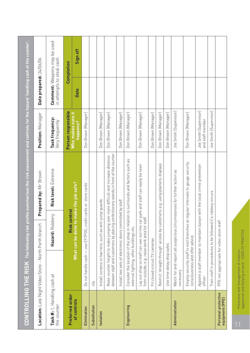|                                            | <b>CONTROLLING THE RISK</b> The following risk                                   |                                                                | profile summarises the risk assessment and controls for the hazard 'handling cash at the counter'.                               |                                            |                           |                                     |
|--------------------------------------------|----------------------------------------------------------------------------------|----------------------------------------------------------------|----------------------------------------------------------------------------------------------------------------------------------|--------------------------------------------|---------------------------|-------------------------------------|
|                                            | Location: Late Night Video Store - North Perth branch                            |                                                                | Prepared by: Mr Brown                                                                                                            | Position: Manager                          | Date prepared: 24/06/06   |                                     |
| Task #: 1, Handling cash at<br>the counter |                                                                                  | Hazard: Robbery                                                | Risk level: Extreme                                                                                                              | Task frequency:<br>Very frequently         | in attempts to steal cash | <b>Comment:</b> Weapons may be used |
| Preferred order                            |                                                                                  | <b>Risk control</b>                                            |                                                                                                                                  | Person responsible                         |                           | Completion                          |
| of controls                                |                                                                                  | What can be done                                               | to make the job safe?                                                                                                            | Who makes sure it<br>happens?              | <b>Date</b>               | Sign off                            |
| Elimination                                |                                                                                  | Do not handle cash - use EFTPOS, credit cards or 'store cards' |                                                                                                                                  | Don Brown (Manager)                        |                           |                                     |
| Substitution                               | n/a                                                                              |                                                                |                                                                                                                                  |                                            |                           |                                     |
| Isolation                                  |                                                                                  | Install screens or barriers, such as anti-jump guards          |                                                                                                                                  | Don Brown (Manager)                        |                           |                                     |
|                                            | Raise counter height to make jumping                                             |                                                                | between staff and customers by placing confectionery stands in front of the counter<br>over more difficult and increase distance | Don Brown (Manager)                        |                           |                                     |
|                                            |                                                                                  | Install two sets of electronic doors controlled by staff       |                                                                                                                                  | Don Brown (Manager)                        |                           |                                     |
| Engineering                                | external lighting, other buildings etc.                                          |                                                                | Consider the location of the shop in relation to surrounds and factors such as                                                   | Don Brown (Manager)                        |                           |                                     |
|                                            | Lay out shop so staff can see out into<br>from outside; e.g. raise work area for | staff                                                          | car park and staff can easily be seen                                                                                            | Don Brown (Manager)                        |                           |                                     |
|                                            | Fit closed-circuit TV cameras                                                    |                                                                |                                                                                                                                  | Don Brown (Manager)                        |                           |                                     |
|                                            |                                                                                  |                                                                | Restrict straight through' access by customers; e.g. using planters, displays                                                    | Don Brown (Manager)                        |                           |                                     |
|                                            | Use time-delay drop safes                                                        |                                                                |                                                                                                                                  | Don Brown (Manager)                        |                           |                                     |
| Administration                             | necessary                                                                        |                                                                | Watch for and report all suspicious circumstances for further action as                                                          | Joe Smith (Supervisor)                     |                           |                                     |
|                                            | Employ security staff to visit branches<br>consciousness and offer advice        |                                                                | at regular intervals to gauge security                                                                                           | Don Brown (Manager)                        |                           |                                     |
|                                            | officer                                                                          |                                                                | Appoint a staff member to maintain liaison with the local crime prevention                                                       | Joe Smith (Supervisor)<br>and staff member |                           |                                     |
|                                            |                                                                                  | Train staff in procedures to be followed if a robbery occurs   |                                                                                                                                  | Joe Smith (Supervisor)                     |                           |                                     |
| Personal protective<br>equipment (PPE)     | PPE not appropriate for video store staff                                        |                                                                |                                                                                                                                  |                                            |                           |                                     |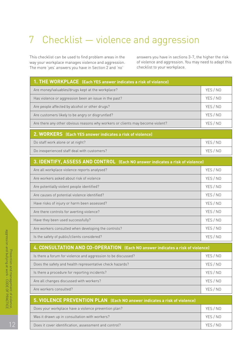## 7 Checklist — violence and aggression

This checklist can be used to find problem areas in the answers you have in sections 3-7, the higher the risk way your workplace manages violence and aggression. of violence and aggression. You may need to adapt this<br>The more 'ves' answers vou have in Section 2 and 'no' checklist to your workplace. The more 'yes' answers you have in Section 2 and 'no'

| 1. THE WORKPLACE (Each YES answer indicates a risk of violence)                |          |
|--------------------------------------------------------------------------------|----------|
| Are money/valuables/drugs kept at the workplace?                               | YES / NO |
| Has violence or aggression been an issue in the past?                          | YES / NO |
| Are people affected by alcohol or other drugs?                                 | YES / NO |
| Are customers likely to be angry or disgruntled?                               | YES / NO |
| Are there any other obvious reasons why workers or clients may become violent? | YES / NO |
| 2. WORKERS (Each YES answer indicates a risk of violence)                      |          |
| Do staff work alone or at night?                                               | YES / NO |
| Do inexperienced staff deal with customers?                                    | YES / NO |
| 3. IDENTIFY, ASSESS AND CONTROL (Each NO answer indicates a risk of violence)  |          |
| Are all workplace violence reports analysed?                                   | YES / NO |
| Are workers asked about risk of violence                                       | YES / NO |
| Are potentially violent people identified?                                     | YES / NO |
| Are causes of potential violence identified?                                   | YES / NO |
|                                                                                |          |
| Have risks of injury or harm been assessed?                                    | YES / NO |
| Are there controls for averting violence?                                      | YES / NO |
| Have they been used successfully?                                              | YES / NO |
| Are workers consulted when developing the controls?                            | YES / NO |

| 4. CONSULTATION AND CO-OPERATION (Each NO answer indicates a risk of violence) |          |  |  |  |
|--------------------------------------------------------------------------------|----------|--|--|--|
| Is there a forum for violence and aggression to be discussed?                  | YES / NO |  |  |  |
| Does the safety and health representative check hazards?                       | YES / NO |  |  |  |
| Is there a procedure for reporting incidents?                                  | YES / NO |  |  |  |
| Are all changes discussed with workers?                                        |          |  |  |  |
| Are workers consulted?                                                         |          |  |  |  |
| 5. VIOLENCE PREVENTION PLAN (Each NO answer indicates a risk of violence)      |          |  |  |  |
| Does your workplace have a violence prevention plan?                           | YES / NO |  |  |  |

Was it drawn up in consultation with workers? Yes / NO Does it cover identification, assessment and control? The control of the control of the VES / NO

Prevention and management of violence,

OF

PRACTICE

aggression and bullying at work - CODE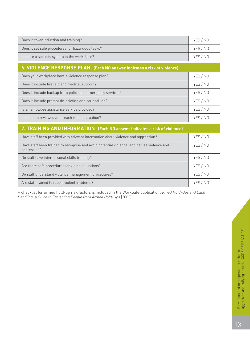| Does it cover induction and training?                                                                     | YES / NO |
|-----------------------------------------------------------------------------------------------------------|----------|
| Does it set safe procedures for hazardous tasks?                                                          | YES / NO |
| Is there a security system in the workplace?                                                              | YES / NO |
| 6. VIOLENCE RESPONSE PLAN (Each NO answer indicates a risk of violence)                                   |          |
| Does your workplace have a violence response plan?                                                        | YES / NO |
| Does it include first aid and medical support?                                                            | YES / NO |
| Does it include backup from police and emergency services?                                                | YES / NO |
| Does it include prompt de-briefing and counselling?                                                       | YES / NO |
| Is an employee assistance service provided?                                                               | YES / NO |
| Is the plan reviewed after each violent situation?                                                        | YES / NO |
| 7. TRAINING AND INFORMATION (Each NO answer indicates a risk of violence)                                 |          |
| Have staff been provided with relevant information about violence and aggression?                         | YES / NO |
| Have staff been trained to recognise and avoid potential violence, and defuse violence and<br>aggression? | YES / NO |
| Do staff have interpersonal skills training?                                                              | YES / NO |
| Are there safe procedures for violent situations?                                                         | YES / NO |
| Do staff understand violence management procedures?                                                       | YES / NO |
| Are staff trained to report violent incidents?                                                            | YES / NO |

A checklist for armed hold-up risk factors is included in the WorkSafe publication *Armed Hold-Ups and Cash Handling: a Guide to Protecting People from Armed Hold-Ups* (2003)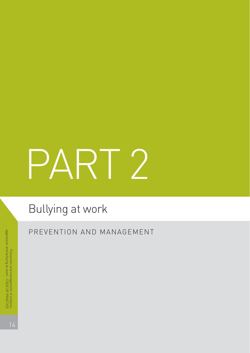# PART 2

# Bullying at work

PREVENTION AND MANAGEMENT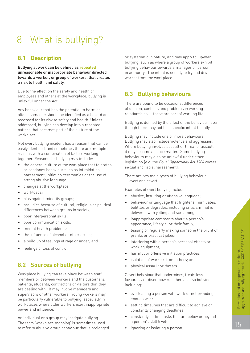## 8 What is bullying?

#### **8.1 Description**

Bullying at work can be defined as **repeated** unreasonable or inappropriate behaviour directed towards a worker, or group of workers, that creates a risk to health and safety.

Due to the effect on the safety and health of employees and others at the workplace, bullying is unlawful under the Act.

Any behaviour that has the potential to harm or offend someone should be identified as a hazard and assessed for its risk to safety and health. Unless addressed, bullying can develop into a repeated pattern that becomes part of the culture at the workplace.

Not every bullying incident has a reason that can be easily identified, and sometimes there are multiple reasons with a combination of factors working together. Reasons for bullying may include:

- the general culture of the workplace that tolerates or condones behaviour such as intimidation, harassment, initiation ceremonies or the use of strong abusive language;
- changes at the workplace;
- workloads;
- bias against minority groups;
- prejudice because of cultural, religious or political differences between groups in society;
- poor interpersonal skills;
- poor communication skills;
- mental health problems;
- the influence of alcohol or other drugs;
- a build up of feelings of rage or anger; and
- feelings of loss of control.

## **8.2 Sources of bullying**

Workplace bullying can take place between staff members or between workers and the customers, patients, students, contractors or visitors that they are dealing with. It may involve managers and supervisors or other workers. Young workers may be particularly vulnerable to bullying, especially in workplaces where older workers exert inappropriate power and influence.

An individual or a group may instigate bullying. The term 'workplace mobbing' is sometimes used to refer to abusive group behaviour that is prolonged

or systematic in nature, and may apply to 'upward' bullying, such as where a group of workers exhibit bullying behaviour towards a manager or person in authority. The intent is usually to try and drive a worker from the workplace.

#### **8.3 Bullying behaviours**

There are bound to be occasional differences of opinion, conflicts and problems in working relationships — these are part of working life.

Bullying is defined by the effect of the behaviour, even though there may not be a specific intent to bully.

Bullying may include one or more behaviours. Bullying may also include violence and aggression. Where bullying involves assault or threat of assault it may become a police matter. Some bullying behaviours may also be unlawful under other legislation (e.g. the *Equal Opportunity Act 1984* covers sexual and racial harassment).

There are two main types of bullying behaviour — overt and covert.

Examples of overt bullying include:

- abusive, insulting or offensive language;
- behaviour or language that frightens, humiliates, belittles or degrades, including criticism that is delivered with yelling and screaming;
- inappropriate comments about a person's appearance, lifestyle, or their family;
- teasing or regularly making someone the brunt of pranks or practical jokes;
- interfering with a person's personal effects or work equipment;
- harmful or offensive initiation practices:
- isolation of workers from others: and
- physical assault or threats.

Covert behaviour that undermines, treats less favourably or disempowers others is also bullying, including:

- overloading a person with work or not providing enough work;
- setting timelines that are difficult to achieve or constantly changing deadlines;
- constantly setting tasks that are below or beyond a person's skill level;
- ignoring or isolating a person;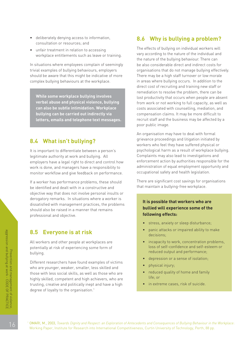- deliberately denying access to information, consultation or resources; and
- unfair treatment in relation to accessing workplace entitlements such as leave or training.

In situations where employees complain of seemingly trivial examples of bullying behaviours, employers should be aware that this might be indicative of more complex bullying behaviours at the workplace.

**While some workplace bullying involves verbal abuse and physical violence, bullying can also be subtle intimidation. Workplace bullying can be carried out indirectly via letters, emails and telephone text messages.**

#### **8.4 What isn't bullying?**

It is important to differentiate between a person's legitimate authority at work and bullying. All employers have a legal right to direct and control how work is done, and managers have a responsibility to monitor workflow and give feedback on performance.

If a worker has performance problems, these should be identified and dealt with in a constructive and objective way that does not involve personal insults or derogatory remarks. In situations where a worker is dissatisfied with management practices, the problems should also be raised in a manner that remains professional and objective.

#### **8.5 Everyone is at risk**

All workers and other people at workplaces are potentially at risk of experiencing some form of bullying.

Different researchers have found examples of victims who are younger, weaker, smaller, less skilled and those with less social skills, as well as those who are highly skilled, competent and high achievers, who are trusting, creative and politically inept and have a high degree of loyalty to the organisation.<sup>1</sup>

#### **8.6 Why is bullying a problem?**

The effects of bullying on individual workers will vary according to the nature of the individual and the nature of the bullying behaviour. There can be also considerable direct and indirect costs for organisations that do not manage bullying effectively. There may be a high staff turnover or low morale in areas where bullying occurs. In addition to the direct cost of recruiting and training new staff or remediation to resolve the problem, there can be lost productivity that occurs when people are absent from work or not working to full capacity, as well as costs associated with counselling, mediation, and compensation claims. It may be more difficult to recruit staff and the business may be affected by a poor public image.

An organisation may have to deal with formal grievance proceedings and litigation initiated by workers who feel they have suffered physical or psychological harm as a result of workplace bullying. Complaints may also lead to investigations and enforcement action by authorities responsible for the administration of equal employment opportunity and occupational safety and health legislation.

There are significant cost savings for organisations that maintain a bullying-free workplace.

#### **It is possible that workers who are bullied will experience some of the following effects:**

- stress, anxiety or sleep disturbance;
- panic attacks or impaired ability to make decisions;
- incapacity to work, concentration problems. loss of self-confidence and self-esteem or reduced output and performance;
- depression or a sense of isolation;
- physical injury;
- reduced quality of home and family life; or
- in extreme cases, risk of suicide.

1 OMARI, M., 2003, 2003, *Towards Dignity and Respect: an Exploration of Antecedents and Consequences of Bullying Behaviour in the Workplace*: Working Paper, Institute for Research into International Competitiveness, Curtin University of Technology, Perth, 88 pp.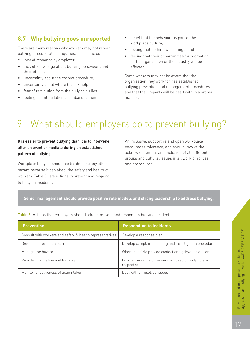## **8.7 Why bullying goes unreported**

There are many reasons why workers may not report bullying or cooperate in inquiries. These include:

- lack of response by employer;
- lack of knowledge about bullying behaviours and their effects;
- uncertainty about the correct procedure;
- uncertainty about where to seek help;
- fear of retribution from the bully or bullies;
- feelings of intimidation or embarrassment;
- belief that the behaviour is part of the workplace culture;
- feeling that nothing will change; and
- feeling that their opportunities for promotion in the organisation or the industry will be affected.

Some workers may not be aware that the organisation they work for has established bullying prevention and management procedures and that their reports will be dealt with in a proper manner.

## 9 What should employers do to prevent bullying?

#### It is easier to prevent bullying than it is to intervene An inclusive, supportive and open workplace after an event or mediate during an established encourages tolerance, and should involve the **pattern of bullying. acknowledgement and inclusion of all different**

Workplace bullying should be treated like any other and procedures. hazard because it can affect the safety and health of workers. Table 5 lists actions to prevent and respond to bullying incidents.

groups and cultural issues in all work practices

#### **Senior management should provide positive role models and strong leadership to address bullying.**

|  |  | Table 5 Actions that employers should take to prevent and respond to bullying incidents |  |
|--|--|-----------------------------------------------------------------------------------------|--|
|  |  |                                                                                         |  |

| <b>Prevention</b>                                        | <b>Responding to incidents</b>                                    |
|----------------------------------------------------------|-------------------------------------------------------------------|
| Consult with workers and safety & health representatives | Develop a response plan                                           |
| Develop a prevention plan                                | Develop complaint handling and investigation procedures           |
| Manage the hazard                                        | Where possible provide contact and grievance officers             |
| Provide information and training                         | Ensure the rights of persons accused of bullying are<br>respected |
| Monitor effectiveness of action taken                    | Deal with unresolved issues                                       |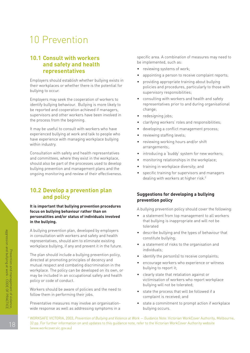## 10 Prevention

#### **10.1 Consult with workers and safety and health representatives**

Employers should establish whether bullying exists in their workplaces or whether there is the potential for bullying to occur.

Employers may seek the cooperation of workers to identify bullying behaviour. Bullying is more likely to be reported and cooperation achieved if managers, supervisors and other workers have been involved in the process from the beginning.

It may be useful to consult with workers who have experienced bullying at work and talk to people who have experience with managing workplace bullying within industry.

Consultation with safety and health representatives and committees, where they exist in the workplace, should also be part of the processes used to develop bullying prevention and management plans and the ongoing monitoring and review of their effectiveness.

#### **10.2 Develop a prevention plan and policy**

**It is important that bullying prevention procedures focus on bullying behaviour rather than on personalities and/or status of individuals involved in the bullying.**

A bullying prevention plan, developed by employers in consultation with workers and safety and health representatives, should aim to eliminate existing workplace bullying, if any and prevent it in the future.

The plan should include a bullying prevention policy, directed at promoting principles of decency and mutual respect and combating discrimination in the workplace. The policy can be developed on its own, or may be included in an occupational safety and health policy or code of conduct.

Workers should be aware of policies and the need to follow them in performing their jobs.

Preventative measures may involve an organisationwide response as well as addressing symptoms in a specific area. A combination of measures may need to be implemented, such as:

- reviewing systems of work;
- appointing a person to receive complaint reports;
- providing appropriate training about bullying policies and procedures, particularly to those with supervisory responsibilities;
- consulting with workers and health and safety representatives prior to and during organisational change;
- redesigning jobs;
- clarifying workers' roles and responsibilities;
- developing a conflict management process;
- reviewing staffing levels;
- reviewing working hours and/or shift arrangements;.
- introducing a 'buddy' system for new workers;
- monitoring relationships in the workplace;
- training in workplace diversity; and
- specific training for supervisors and managers dealing with workers at higher risk.<sup>2</sup>

#### **Suggestions for developing a bullying prevention policy**

A bullying prevention policy should cover the following:

- a statement from top management to all workers that bullying is inappropriate and will not be tolerated
- describe bullying and the types of behaviour that constitute bullying;
- a statement of risks to the organisation and individuals;
- identify the person(s) to receive complaints;
- encourage workers who experience or witness bullying to report it;
- clearly state that retaliation against or victimisation of workers who report workplace bullying will not be tolerated;
- state the process that will be followed if a complaint is received; and
- state a commitment to prompt action if workplace bullying occurs.
- <sup>2</sup> WORKSAFE VICTORIA, 2003, *Prevention of Bullying and Violence at Work Guidance Note:* Victorian WorkCover Authority, Melbourne, 32 pp. For further information on and updates to this guidance note, refer to the Victorian WorkCover Authority website (www.workcover.vic.gov.au)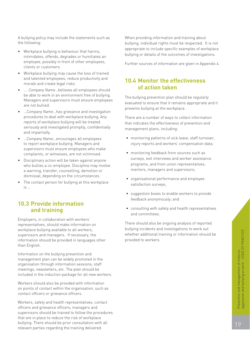A bullying policy may include the statements such as the following:

- Workplace bullying is behaviour that harms, intimidates, offends, degrades or humiliates an employee, possibly in front of other employees, clients or customers.
- Workplace bullying may cause the loss of trained and talented employees, reduce productivity and morale and create legal risks.
- …. *Company Name*…believes all employees should be able to work in an environment free of bullying. Managers and supervisors must ensure employees are not bullied.
- …*Company Name*…has grievance and investigation procedures to deal with workplace bullying. Any reports of workplace bullying will be treated seriously and investigated promptly, confidentially and impartially.
- …*Company Name*…encourages all employees to report workplace bullying. Managers and supervisors must ensure employees who make complaints, or witnesses, are not victimised.
- Disciplinary action will be taken against anyone who bullies a co-employee. Discipline may involve a warning, transfer, counselling, demotion or dismissal, depending on the circumstances.
- The contact person for bullying at this workplace  $is$

#### **10.3 Provide information and training**

Employers, in collaboration with workers' representatives, should make information on workplace bullying available to all workers, supervisors and managers. If necessary, the information should be provided in languages other than English.

Information on the bullying prevention and management plan can be widely promoted in the organisation through information sessions, staff meetings, newsletters, etc. The plan should be included in the induction package for all new workers.

Workers should also be provided with information on points of contact within the organisation, such as contact officers or grievance officers.

Workers, safety and health representatives, contact officers and grievance officers, managers and supervisors should be trained to follow the procedures that are in place to reduce the risk of workplace bullying. There should be prior consultation with all relevant parties regarding the training delivered.

When providing information and training about bullying, individual rights must be respected. It is not appropriate to include specific examples of workplace bullying or details of the outcomes of investigations.

Further sources of information are given in Appendix 4.

#### **10.4 Monitor the effectiveness of action taken**

The bullying prevention plan should be regularly evaluated to ensure that it remains appropriate and it prevents bullying at the workplace.

There are a number of ways to collect information that indicates the effectiveness of prevention and management plans, including:

- monitoring patterns of sick leave, staff turnover, injury reports and workers' compensation data;
- monitoring feedback from sources such as surveys, exit interviews and worker assistance programs, and from union representatives, mentors, managers and supervisors;
- organisational performance and employee satisfaction surveys;
- suggestion boxes to enable workers to provide feedback anonymously; and
- consulting with safety and health representatives and committees.

There should also be ongoing analysis of reported bullying incidents and investigations to work out whether additional training or information should be provided to workers.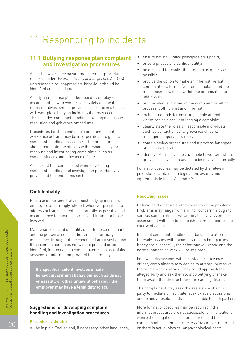## 11 Responding to incidents

#### **11.1 Bullying response plan complaint and investigation procedures**

As part of workplace hazard management procedures required under the *Mines Safety and Inspection Act 1994*, unreasonable or inappropriate behaviour should be identified and investigated.

A bullying response plan, developed by employers in consultation with workers and safety and health representatives, should provide a clear process to deal with workplace bullying incidents that may occur. This includes complaint handling, investigation, issue resolution and grievance procedures.

Procedures for the handling of complaints about workplace bullying may be incorporated into general complaint handling procedures. The procedures should nominate the officers with responsibility for receiving and investigating complaints, such as contact officers and grievance officers.

A checklist that can be used when developing complaint handling and investigation procedures is provided at the end of this section.

#### **Confidentiality**

Because of the sensitivity of most bullying incidents, employers are strongly advised, wherever possible, to address bullying incidents as promptly as possible and in confidence to minimise stress and trauma to those involved.

Maintenance of confidentiality of both the complainant and the person accused of bullying is of primary importance throughout the conduct of any investigation. If the complainant does not wish to proceed or be identified, indirect action can be taken, such as training sessions or information provided to all employees.

**If a specific incident involves unsafe behaviour, criminal behaviour such as threat or assault, or other unlawful behaviour the employer may have a legal duty to act.**

#### **Suggestions for developing complaint handling and investigation procedures**

#### **Procedures should:**

• be in plain English and, if necessary, other languages;

- ensure natural justice principles are upheld;
- ensure privacy and confidentiality:
- be designed to resolve the problem as quickly as possible.
- provide the option to make an informal (verbal) complaint or a formal (written) complaint and the mechanisms available within the organisation to address these;
- outline what is involved in the complaint handling process, both formal and informal.
- include methods for ensuring people are not victimised as a result of lodging a complaint
- clearly state the roles of responsible individuals such as contact officers, grievance officers, managers, supervisors roles
- contain review procedures and a process for appeal of outcomes; and
- identify external avenues available to workers where grievances have been unable to be resolved internally.

Formal procedures may be dictated by the relevant procedures contained in legislation, awards and agreements listed at Appendix 2.

#### **Resolving issues**

Determine the nature and the severity of the problem. Problems may range from a minor concern through to serious complaints and/or criminal activity. A proper assessment will help to establish the most appropriate course of action.

Informal complaint handling can be used to attempt to resolve issues with minimal stress to both parties. If they are successful, the behaviour will cease and the normal pattern of work will be restored.

Following discussions with a contact or grievance officer, complainants may decide to attempt to resolve the problem themselves. They could approach the alleged bully and ask them to stop bullying or make them aware that their behaviour is causing distress.

The complainant may seek the assistance of a third party to mediate or facilitate face-to-face discussions and to find a resolution that is acceptable to both parties.

More formal procedures may be required if the informal procedures are not successful or in situations where the allegations are more serious and the complainant can demonstrate less favourable treatment or there is actual physical or psychological harm.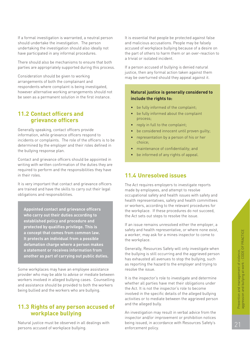If a formal investigation is warranted, a neutral person should undertake the investigation. The person undertaking the investigation should also ideally not have participated in any informal procedures.

There should also be mechanisms to ensure that both parties are appropriately supported during this process.

Consideration should be given to working arrangements of both the complainant and respondents where complaint is being investigated, however alternative working arrangements should not be seen as a permanent solution in the first instance.

#### **11.2 Contact officers and grievance officers**

Generally speaking, contact officers provide information, while grievance officers respond to incidents or complaints. The role of the officers is to be determined by the employer and their roles defined in the bullying response plan.

Contact and grievance officers should be appointed in writing with written confirmation of the duties they are required to perform and the responsibilities they have in their roles.

It is very important that contact and grievance officers are trained and have the skills to carry out their legal obligations and responsibilities.

**Appointed contact and grievance officers who carry out their duties according to established policy and procedure and protected by qualifies privilege. This is a concept that comes from common law. It protects an individual from a possible defamation charge where a person makes a statement or receives information from another as part of carrying out public duties.**

Some workplaces may have an employee assistance provider who may be able to advise or mediate between workers involved in alleged bullying cases. Counselling and assistance should be provided to both the workers being bullied and the workers who are bullying.

#### **11.3 Rights of any person accused of workplace bullying**

Natural justice must be observed in all dealings with persons accused of workplace bullying.

It is essential that people be protected against false and malicious accusations. People may be falsely accused of workplace bullying because of a desire on the part of others to harm them or an over-reaction to a trivial or isolated incident.

If a person accused of bullying is denied natural justice, then any formal action taken against them may be overturned should they appeal against it.

#### **Natural justice is generally considered to include the rights to:**

- be fully informed of the complaint;
- be fully informed about the complaint process;
- reply in full to the complaint;
- be considered innocent until proven quilty:
- representation by a person of his or her choice;
- maintenance of confidentiality; and
- be informed of any rights of appeal.

#### **11.4 Unresolved issues**

The Act requires employers to investigate reports made by employees, and attempt to resolve occupational safety and health issues with safety and health representatives, safety and health committees or workers, according to the relevant procedures for the workplace. If these procedures do not succeed, the Act sets out steps to resolve the issue.

If an issue remains unresolved either the employer, a safety and health representative, or where none exist, a worker, may ask for a mines inspector to come to the workplace.

Generally, Resources Safety will only investigate when the bullying is still occurring and the aggrieved person has exhausted all avenues to stop the bullying, such as reporting the hazard to the employer and trying to resolve the issue.

It is the inspector's role to investigate and determine whether all parties have met their obligations under the Act. It is not the inspector's role to become involved in the specific details of the alleged bullying activities or to mediate between the aggrieved person and the alleged bully.

An investigation may result in verbal advice from the inspector and/or improvement or prohibition notices being issued, in accordance with Resources Safety's enforcement policy.

21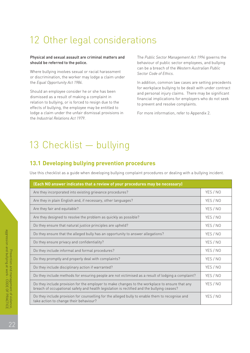## 12 Other legal considerations

#### Physical and sexual assault are criminal matters and The *Public Sector Management Act 1994* governs the should be referred to the police. **behaviour** behaviour of public sector employees, and bullying

Where bullying involves sexual or racial harassment *Sector Code of Ethics*.<br>
or discrimination, the worker may lodge a claim under the *Equal Opportunity Act 1984*. In addition, common law cases are setting precedents

Should an employee consider he or she has been<br>dismissed as a result of making a complaint in<br>relation to bullying, or is forced to resign due to the<br>effects of bullying, the employee may be entitled to<br>effects of bullying lodge a claim under the unfair dismissal provisions in For more information, refer to Appendix 2. the *Industrial Relations Act 1979*.

can be a breach of the *Western Australian Public*

## 13 Checklist — bullying

#### **13.1 Developing bullying prevention procedures**

Use this checklist as a guide when developing bullying complaint procedures or dealing with a bullying incident.

| (Each NO answer indicates that a review of your procedures may be necessary)                                                                                                                 |          |  |
|----------------------------------------------------------------------------------------------------------------------------------------------------------------------------------------------|----------|--|
| Are they incorporated into existing grievance procedures?                                                                                                                                    | YES / NO |  |
| Are they in plain English and, if necessary, other languages?                                                                                                                                | YES / NO |  |
| Are they fair and equitable?                                                                                                                                                                 | YES / NO |  |
| Are they designed to resolve the problem as quickly as possible?                                                                                                                             | YES / NO |  |
| Do they ensure that natural justice principles are upheld?                                                                                                                                   | YES / NO |  |
| Do they ensure that the alleged bully has an opportunity to answer allegations?                                                                                                              | YES / NO |  |
| Do they ensure privacy and confidentiality?                                                                                                                                                  | YES / NO |  |
| Do they include informal and formal procedures?                                                                                                                                              | YES / NO |  |
| Do they promptly and properly deal with complaints?                                                                                                                                          | YES / NO |  |
| Do they include disciplinary action if warranted?                                                                                                                                            | YES / NO |  |
| Do they include methods for ensuring people are not victimised as a result of lodging a complaint?                                                                                           | YES / NO |  |
| Do they include provision for the employer to make changes to the workplace to ensure that any<br>breach of occupational safety and health legislation is rectified and the bullying ceases? | YES / NO |  |
| Do they include provision for counselling for the alleged bully to enable them to recognise and<br>take action to change their behaviour?                                                    | YES / NO |  |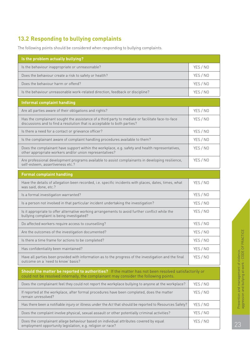## **13.2 Responding to bullying complaints**

The following points should be considered when responding to bullying complaints.

| Is the problem actually bullying?                                                                                                                                                           |          |
|---------------------------------------------------------------------------------------------------------------------------------------------------------------------------------------------|----------|
| Is the behaviour inappropriate or unreasonable?                                                                                                                                             | YES / NO |
| Does the behaviour create a risk to safety or health?                                                                                                                                       | YES / NO |
| Does the behaviour harm or offend?                                                                                                                                                          | YES / NO |
| Is the behaviour unreasonable work-related direction, feedback or discipline?                                                                                                               | YES / NO |
| <b>Informal complaint handling</b>                                                                                                                                                          |          |
| Are all parties aware of their obligations and rights?                                                                                                                                      | YES / NO |
| Has the complainant sought the assistance of a third party to mediate or facilitate face-to-face<br>discussions and to find a resolution that is acceptable to both parties?                | YES / NO |
| Is there a need for a contact or grievance officer?                                                                                                                                         | YES / NO |
| Is the complainant aware of complaint handling procedures available to them?                                                                                                                | YES / NO |
| Does the complainant have support within the workplace, e.g. safety and health representatives,<br>other appropriate workers and/or union representatives?                                  | YES / NO |
| Are professional development programs available to assist complainants in developing resilience,<br>self-esteem, assertiveness etc.?                                                        | YES / NO |
| <b>Formal complaint handling</b>                                                                                                                                                            |          |
| Have the details of allegation been recorded, i.e. specific incidents with places, dates, times, what<br>was said, done, etc.?                                                              | YES / NO |
| Is a formal investigation warranted?                                                                                                                                                        | YES / NO |
| Is a person not involved in that particular incident undertaking the investigation?                                                                                                         | YES / NO |
| Is it appropriate to offer alternative working arrangements to avoid further conflict while the<br>bullying complaint is being investigated?                                                | YES / NO |
| Do affected workers require access to counselling?                                                                                                                                          | YES / NO |
| Are the outcomes of the investigation documented?                                                                                                                                           | YES / NO |
| Is there a time frame for actions to be completed?                                                                                                                                          | YES / NO |
| Has confidentiality been maintained?                                                                                                                                                        | YES / NO |
| Have all parties been provided with information as to the progress of the investigation and the final<br>outcome on a 'need to know' basis?                                                 | YES / NO |
| Should the matter be reported to authorities? If the matter has not been resolved satisfactorily or<br>could not be resolved internally, the complainant may consider the following points. |          |
| Does the complainant feel they could not report the workplace bullying to anyone at the workplace?                                                                                          | YES / NO |
| If reported at the workplace, after formal procedures have been completed, does the matter<br>remain unresolved?                                                                            | YES / NO |
| Has there been a notifiable injury or illness under the Act that should be reported to Resources Safety?                                                                                    | YES / NO |
| Does the complaint involve physical, sexual assault or other potentially criminal activities?                                                                                               | YES / NO |
| Does the complainant allege behaviour based on individual attributes covered by equal<br>employment opportunity legislation, e.g. religion or race?                                         | YES / NO |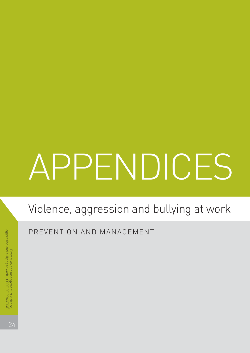# APPENDICES

# Violence, aggression and bullying at work

PREVENTION AND MANAGEMENT

 $24$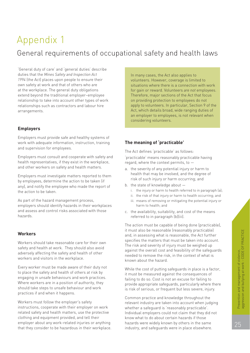## Appendix 1 General requirements of occupational safety and health laws

'General duty of care' and 'general duties' describe duties that the *Mines Safety and Inspection Act 1994* (the Act) places upon people to ensure their own safety at work and that of others who are at the workplace. The general duty obligations extend beyond the traditional employer–employee relationship to take into account other types of work relationships such as contractors and labour hire arrangements.

#### **Employers**

Employers must provide safe and healthy systems of work with adequate information, instruction, training and supervision for employees.

Employers must consult and cooperate with safety and health representatives, if they exist in the workplace, and other workers on safety and health matters.

Employers must investigate matters reported to them by employees, determine the action to be taken (if any), and notify the employee who made the report of the action to be taken.

As part of the hazard management process, employers should identify hazards in their workplaces and assess and control risks associated with those hazards.

#### **Workers**

Workers should take reasonable care for their own safety and health at work. They should also avoid adversely affecting the safety and health of other workers and visitors in the workplace.

Every worker must be made aware of their duty not to place the safety and health of others at risk by engaging in unsafe behaviours and work practices. Where workers are in a position of authority, they should take steps to unsafe behaviour and work practices if and when it happens.

Workers must follow the employer's safety instructions, cooperate with their employer on work related safety and health matters, use the protective clothing and equipment provided, and tell their employer about any work-related injuries or anything that they consider to be hazardous in their workplace. In many cases, the Act also applies to volunteers. However, coverage is limited to situations where there is a connection with work for gain or reward. Volunteers *are not* employees. Therefore, major sections of the Act that focus on providing protection to employees do not apply to volunteers. In particular, Section 9 of the Act, which details broad, wide ranging duties of an employer to employees, is not relevant when considering volunteers.

#### **The meaning of 'practicable'**

The Act defines 'practicable' as follows:

'practicable' means reasonably practicable having regard, where the context permits, to —

- a. the severity of any potential injury or harm to health that may be involved, and the degree of risk of such injury or harm occurring; and
- b. the state of knowledge about
	- i. the injury or harm to health referred to in paragraph (a);
	- ii. the risk of that injury or harm to health occurring; and
	- iii. means of removing or mitigating the potential injury or harm to health; and
- c. the availability, suitability, and cost of the means referred to in paragraph (b)(iii).

The action must be capable of being done (practicable), it must also be reasonable (reasonably practicable) and, in assessing what is reasonable, the Act further specifies the matters that must be taken into account. The risk and severity of injury must be weighed up against the overall cost and feasibility of the safeguards needed to remove the risk, in the context of what is known about the hazard.

While the cost of putting safeguards in place is a factor. it must be measured against the consequences of failing to do so. Cost is not an excuse for failing to provide appropriate safeguards, particularly where there is risk of serious, or frequent but less severe, injury.

Common practice and knowledge throughout the relevant industry are taken into account when judging whether a safeguard is 'reasonably practicable'. Individual employers could not claim that they did not know what to do about certain hazards if those hazards were widely known by others in the same industry, and safeguards were in place elsewhere.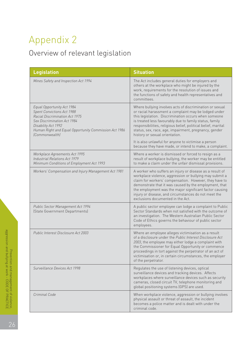## Appendix 2

## Overview of relevant legislation

| <b>Legislation</b>                                                                                                                                                                                                                        | <b>Situation</b>                                                                                                                                                                                                                                                                                                                                                                                |
|-------------------------------------------------------------------------------------------------------------------------------------------------------------------------------------------------------------------------------------------|-------------------------------------------------------------------------------------------------------------------------------------------------------------------------------------------------------------------------------------------------------------------------------------------------------------------------------------------------------------------------------------------------|
| Mines Safety and Inspection Act 1994                                                                                                                                                                                                      | The Act includes general duties for employers and<br>others at the workplace who might be injured by the<br>work, requirements for the resolution of issues and<br>the functions of safety and health representatives and<br>committees.                                                                                                                                                        |
| Equal Opportunity Act 1984<br><b>Spent Convictions Act 1988</b><br>Racial Discrimination Act 1975<br>Sex Discrimination Act 1984<br>Disability Act 1992<br>Human Right and Equal Opportunity Commission Act 1986<br><i>(Commonwealth)</i> | Where bullying involves acts of discrimination or sexual<br>or racial harassment a complaint may be lodged under<br>this legislation. Discrimination occurs when someone<br>is treated less favourably due to family status, family<br>responsibilities, religious belief, political belief, marital<br>status, sex, race, age, impairment, pregnancy, gender<br>history or sexual orientation. |
|                                                                                                                                                                                                                                           | It is also unlawful for anyone to victimise a person<br>because they have made, or intend to make, a complaint.                                                                                                                                                                                                                                                                                 |
| Workplace Agreements Act 1995<br>Industrial Relations Act 1979<br>Minimum Conditions of Employment Act 1993                                                                                                                               | Where a worker is dismissed or forced to resign as a<br>result of workplace bullying, the worker may be entitled<br>to make a claim under the unfair dismissal provisions.                                                                                                                                                                                                                      |
| Workers' Compensation and Injury Management Act 1981                                                                                                                                                                                      | A worker who suffers an injury or disease as a result of<br>workplace violence, aggression or bullying may submit a<br>claim for workers' compensation. However, they have to<br>demonstrate that it was caused by the employment, that<br>the employment was the major significant factor causing<br>injury or disease, and circumstances do not meet the<br>exclusions documented in the Act. |
| Public Sector Management Act 1994<br>(State Government Departments)                                                                                                                                                                       | A public sector employee can lodge a complaint to Public<br>Sector Standards when not satisfied with the outcome of<br>an investigation. The Western Australian Public Sector<br>Code of Ethics governs the behaviour of public sector<br>employees.                                                                                                                                            |
| Public Interest Disclosure Act 2003                                                                                                                                                                                                       | Where an employee alleges victimisation as a result<br>of a disclosure under the Public Interest Disclosure Act<br>2003, the employee may either lodge a complaint with<br>the Commissioner for Equal Opportunity or commence<br>proceedings in tort against the perpetrator of an act of<br>victimisation or, in certain circumstances, the employer<br>of the perpetrator.                    |
| Surveillance Devices Act 1998                                                                                                                                                                                                             | Regulates the use of listening devices, optical<br>surveillance devices and tracking devices. Affects<br>workplaces where surveillance devices such as security<br>cameras, closed circuit TV, telephone monitoring and<br>global positioning systems (GPS) are used.                                                                                                                           |
| Criminal Code                                                                                                                                                                                                                             | When workplace violence, aggression or bullying involves<br>physical assault or threat of assault, the incident<br>becomes a police matter and is dealt with under the<br>criminal code.                                                                                                                                                                                                        |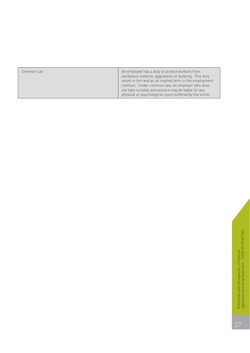| Common Law | An employer has a duty to protect workers from<br>workplace violence, aggression or bullying. This duty<br>exists in tort and as an implied term in the employment<br>contract. Under common law, an employer who does<br>not take suitable precautions may be liable for any<br>physical or psychological injury suffered by the victim. |
|------------|-------------------------------------------------------------------------------------------------------------------------------------------------------------------------------------------------------------------------------------------------------------------------------------------------------------------------------------------|
|            |                                                                                                                                                                                                                                                                                                                                           |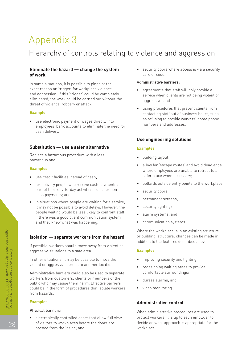## Appendix 3

## Hierarchy of controls relating to violence and aggression

#### **Eliminate the hazard — change the system** • security doors where access is via a security **of work** card or code.

Administrative barriers: In some situations, it is possible to pinpoint the exact reason or 'trigger' for workplace violence • agreements that staff will only provide a<br>and aggression. If this 'trigger' could be completely and aggression. If this 'trigger' could be completely service when clients are not being violent or eliminated, the work could be carried out without the aggressive; and threat of violence, robbery or attack.

as refusing to provide workers' home phone • use electronic payment of wages directly into numbers and addresses. employees' bank accounts to eliminate the need for cash delivery.

#### **Substitution — use a safer alternative Examples**

Replace a hazardous procedure with a less **•** building layout;<br>hazardous one.

- safer place when necessary; use credit facilities instead of cash;
- part of their day-to-day activities, consider non-<br>cash payments; and<br>• permanent screens;
- in situations where people are waiting for a service, it may not be possible to avoid delays. However, the **•** security lighting; people waiting would be less likely to confront staff • alarm systems; and if there was a good client communication system and they knew what was happening.  $\bullet$  communication systems.

#### **Isolation — separate workers from the hazard** or building, structural changes can be made in

If possible, workers should move away from violent or aggressive situations to a safe area. **Examples**

In other situations, it may be possible to move the  $\bullet$  improving security and lighting; violent or aggressive person to another location.<br>
• redesigning waiting areas to provide

Administrative barriers could also be used to separate comfortable surroundings; workers from customers, clients or members of the • duress alarms; and public who may cause them harm. Effective barriers could be in the form of procedures that isolate workers • video monitoring. from hazards.

• electronically controlled doors that allow full view protect workers, it is up to each employer to of visitors to workplaces before the doors are opened from the inside; and vorkplace.

- 
- using procedures that prevent clients from **Example Example Example Example Example Example Example Example Example Example Example EXAMPLE**

#### **Use engineering solutions**

- 
- allow for 'escape routes' and avoid dead ends **Examples** where employees are unable to retreat to a
	- for delivery people who receive cash payments as **•** bollards outside entry points to the workplace;
		-
		-
		-
		-
		-

Where the workplace is in an existing structure addition to the features described above.

- 
- 
- 
- 

#### **Examples Administrative control**

Physical barriers: When administrative procedures are used to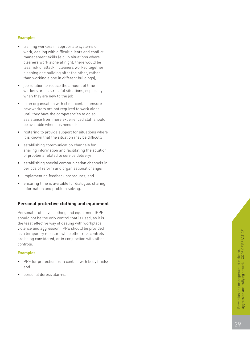#### **Examples**

- training workers in appropriate systems of work, dealing with difficult clients and conflict management skills (e.g. in situations where cleaners work alone at night, there would be less risk of attack if cleaners worked together, cleaning one building after the other, rather than working alone in different buildings);
- job rotation to reduce the amount of time workers are in stressful situations, especially when they are new to the job;
- in an organisation with client contact, ensure new workers are not required to work alone until they have the competencies to do so assistance from more experienced staff should be available when it is needed;
- rostering to provide support for situations where it is known that the situation may be difficult;
- establishing communication channels for sharing information and facilitating the solution of problems related to service delivery;
- establishing special communication channels in periods of reform and organisational change;
- implementing feedback procedures; and
- ensuring time is available for dialogue, sharing information and problem solving.

#### **Personal protective clothing and equipment**

Personal protective clothing and equipment (PPE) should not be the only control that is used, as it is the least effective way of dealing with workplace violence and aggression. PPE should be provided as a temporary measure while other risk controls are being considered, or in conjunction with other controls.

#### **Examples**

- PPE for protection from contact with body fluids; and
- personal duress alarms.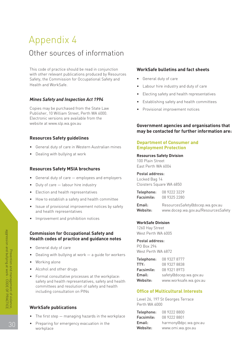## Appendix 4 Other sources of information

This code of practice should be read in conjunction **WorkSafe bulletins and fact sheets** with other relevant publications produced by Resources Safety, the Commission for Occupational Safety and **•** General duty of care Health and WorkSafe. • Cabour hire industry and duty of care

### **Mines Safety and Inspection Act 1994** • Establishing safety and health committees

Copies may be purchased from the State Law • Provisional improvement notices Publisher, 10 William Street, Perth WA 6000. Electronic versions are available from the

#### **Resources Safety guidelines**

- General duty of care in Western Australian mines **Employment Protection**
- Dealing with bullying at work **Resources Safety Division**

## East Perth WA 6004 **Resources Safety MSIA brochures**

- General duty of care  $-$  employees and employers Locked Bag 14
- Duty of care labour hire industry entity and Cloisters Square WA 6850
- Election and health representatives
- How to establish a safety and health committee
- and health representatives www.docep.wa.gov.au/ResourcesSafety
- Improvement and prohibition notices

#### **Commission for Occupational Safety and West Perth WA 6005 Health codes of practice and guidance notes** Postal address:

- PO Box 294 General duty of care
- Dealing with bullying at work a guide for workers
- 
- Alcohol and other drugs
- Formal consultative processes at the workplace: safety and health representatives, safety and health Website: www.worksafe.wa.gov.au committees and resolution of safety and health including consultation on PINs **Office of Multicultural Interests**

## Perth WA 6000 **WorkSafe publications**

- The first step  $-$  managing hazards in the workplace
- Preparing for emergency evacuation in the workplace **Website:** www.omi.wa.gov.au

- 
- 
- Electing safety and health representatives
- 
- 

#### website at www.slp.wa.gov.au **Government agencies and organisations that may be contacted for further information are:**

## **Department of Consumer and**

100 Plain Street

#### Postal address:

| Telephone: | 08 9222 3229 |
|------------|--------------|
| Facsimile: | 08 9325 2280 |

Issue of provisional improvement notices by safety **Email:** ResourcesSafety@docep.wa.gov.au end health representatives

#### **WorkSafe Division**

1260 Hay Street

West Perth WA 6872

|                                                      |            | <b>Telephone:</b> 08 9327 8777 |
|------------------------------------------------------|------------|--------------------------------|
| • Working alone                                      | TTY:       | 08 9327 8838                   |
| • Alcohol and other drugs                            | Facsimile: | 08 9321 8973                   |
| • Formal consultative processes at the workplace:    | Email:     | safety@docep.wa.gov.au         |
| safety and health representatives, safety and health | Website:   | www.worksafe.wa.gov.au         |

Level 26, 197 St Georges Terrace

| Telephone: | 08 9222 8800          |
|------------|-----------------------|
| Facsimile: | 08 9222 8801          |
| Email:     | harmony@dpc.wa.gov.au |
| Website:   | www.omi.wa.gov.au     |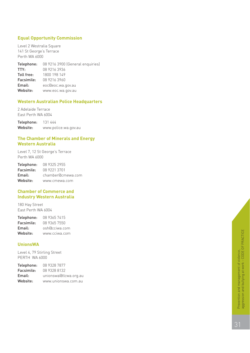#### **Equal Opportunity Commission**

Level 2 Westralia Square 141 St George's Terrace Perth WA 6000

Telephone: 08 9216 3900 (General enquiries) **TTY:** 08 9216 3936<br> **Toll free:** 1800 198 149 1800 198 149 Facsimile: 08 9216 3960 Email: eoc@eoc.wa.gov.au Website: www.eoc.wa.gov.au

#### **Western Australian Police Headquarters**

2 Adelaide Terrace East Perth WA 6004

Telephone: 131 444 Website: www.police.wa.gov.au

#### **The Chamber of Minerals and Energy Western Australia**

Level 7, 12 St George's Terrace Perth WA 6000

| Telephone: | 08 9325 2955      |
|------------|-------------------|
| Facsimile: | 08 9221 3701      |
| Email:     | chamber@cmewa.com |
| Website:   | www.cmewa.com     |

#### **Chamber of Commerce and Industry Western Australia**

180 Hay Street East Perth WA 6004

| Telephone: | 08 9365 7415  |
|------------|---------------|
| Facsimile: | 08 9365 7550  |
| Email:     | osh@cciwa.com |
| Website:   | www.cciwa.com |

#### **UnionsWA**

Level 4, 79 Stirling Street PERTH WA 6000

| Telephone: | 08 9328 7877          |
|------------|-----------------------|
| Facsimile: | 08 9328 8132          |
| Email:     | unionswa@tlcwa.org.au |
| Website:   | www.unionswa.com.au   |